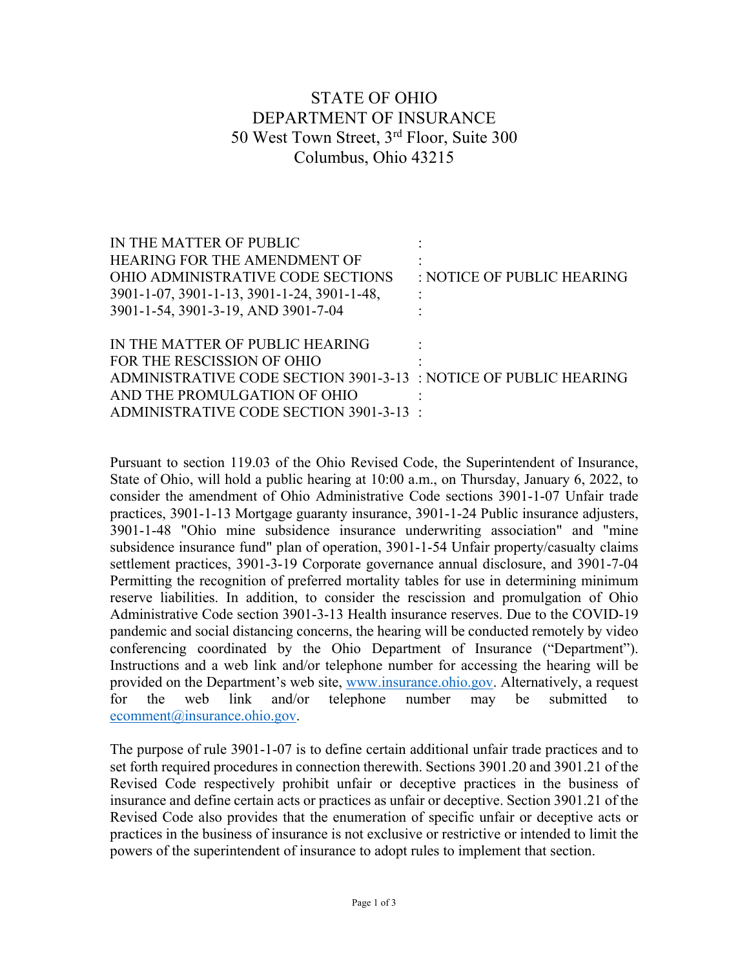## STATE OF OHIO DEPARTMENT OF INSURANCE 50 West Town Street, 3rd Floor, Suite 300 Columbus, Ohio 43215

| IN THE MATTER OF PUBLIC                                          |                            |
|------------------------------------------------------------------|----------------------------|
| <b>HEARING FOR THE AMENDMENT OF</b>                              |                            |
| OHIO ADMINISTRATIVE CODE SECTIONS                                | : NOTICE OF PUBLIC HEARING |
| 3901-1-07, 3901-1-13, 3901-1-24, 3901-1-48,                      |                            |
| 3901-1-54, 3901-3-19, AND 3901-7-04                              |                            |
|                                                                  |                            |
|                                                                  |                            |
| IN THE MATTER OF PUBLIC HEARING                                  |                            |
| FOR THE RESCISSION OF OHIO                                       |                            |
| ADMINISTRATIVE CODE SECTION 3901-3-13 : NOTICE OF PUBLIC HEARING |                            |
| AND THE PROMULGATION OF OHIO                                     |                            |

Pursuant to section 119.03 of the Ohio Revised Code, the Superintendent of Insurance, State of Ohio, will hold a public hearing at 10:00 a.m., on Thursday, January 6, 2022, to consider the amendment of Ohio Administrative Code sections 3901-1-07 Unfair trade practices, 3901-1-13 Mortgage guaranty insurance, 3901-1-24 Public insurance adjusters, 3901-1-48 "Ohio mine subsidence insurance underwriting association" and "mine subsidence insurance fund" plan of operation, 3901-1-54 Unfair property/casualty claims settlement practices, 3901-3-19 Corporate governance annual disclosure, and 3901-7-04 Permitting the recognition of preferred mortality tables for use in determining minimum reserve liabilities. In addition, to consider the rescission and promulgation of Ohio Administrative Code section 3901-3-13 Health insurance reserves. Due to the COVID-19 pandemic and social distancing concerns, the hearing will be conducted remotely by video conferencing coordinated by the Ohio Department of Insurance ("Department"). Instructions and a web link and/or telephone number for accessing the hearing will be provided on the Department's web site, [www.insurance.ohio.gov.](http://www.insurance.ohio.gov/) Alternatively, a request for the web link and/or telephone number may be submitted to [ecomment@insurance.ohio.gov.](mailto:ecomment@insurance.ohio.gov)

The purpose of rule 3901-1-07 is to define certain additional unfair trade practices and to set forth required procedures in connection therewith. Sections 3901.20 and 3901.21 of the Revised Code respectively prohibit unfair or deceptive practices in the business of insurance and define certain acts or practices as unfair or deceptive. Section 3901.21 of the Revised Code also provides that the enumeration of specific unfair or deceptive acts or practices in the business of insurance is not exclusive or restrictive or intended to limit the powers of the superintendent of insurance to adopt rules to implement that section.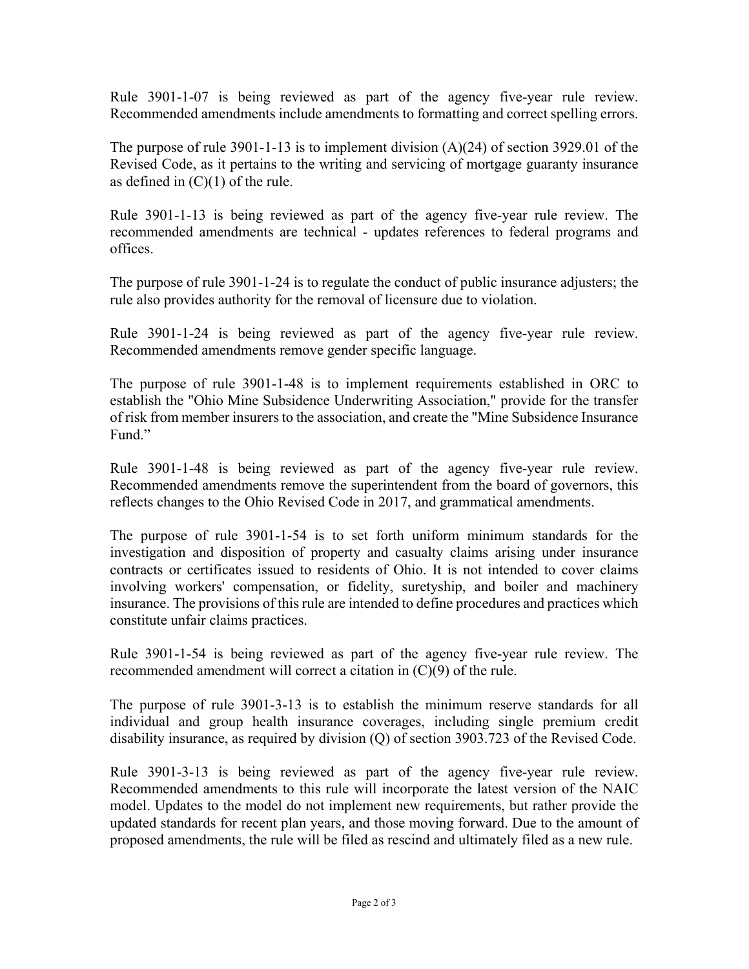Rule 3901-1-07 is being reviewed as part of the agency five-year rule review. Recommended amendments include amendments to formatting and correct spelling errors.

The purpose of rule 3901-1-13 is to implement division  $(A)(24)$  of section 3929.01 of the Revised Code, as it pertains to the writing and servicing of mortgage guaranty insurance as defined in  $(C)(1)$  of the rule.

Rule 3901-1-13 is being reviewed as part of the agency five-year rule review. The recommended amendments are technical - updates references to federal programs and offices.

The purpose of rule 3901-1-24 is to regulate the conduct of public insurance adjusters; the rule also provides authority for the removal of licensure due to violation.

Rule 3901-1-24 is being reviewed as part of the agency five-year rule review. Recommended amendments remove gender specific language.

The purpose of rule 3901-1-48 is to implement requirements established in ORC to establish the "Ohio Mine Subsidence Underwriting Association," provide for the transfer of risk from member insurers to the association, and create the "Mine Subsidence Insurance Fund."

Rule 3901-1-48 is being reviewed as part of the agency five-year rule review. Recommended amendments remove the superintendent from the board of governors, this reflects changes to the Ohio Revised Code in 2017, and grammatical amendments.

The purpose of rule 3901-1-54 is to set forth uniform minimum standards for the investigation and disposition of property and casualty claims arising under insurance contracts or certificates issued to residents of Ohio. It is not intended to cover claims involving workers' compensation, or fidelity, suretyship, and boiler and machinery insurance. The provisions of this rule are intended to define procedures and practices which constitute unfair claims practices.

Rule 3901-1-54 is being reviewed as part of the agency five-year rule review. The recommended amendment will correct a citation in (C)(9) of the rule.

The purpose of rule 3901-3-13 is to establish the minimum reserve standards for all individual and group health insurance coverages, including single premium credit disability insurance, as required by division (Q) of section 3903.723 of the Revised Code.

Rule 3901-3-13 is being reviewed as part of the agency five-year rule review. Recommended amendments to this rule will incorporate the latest version of the NAIC model. Updates to the model do not implement new requirements, but rather provide the updated standards for recent plan years, and those moving forward. Due to the amount of proposed amendments, the rule will be filed as rescind and ultimately filed as a new rule.